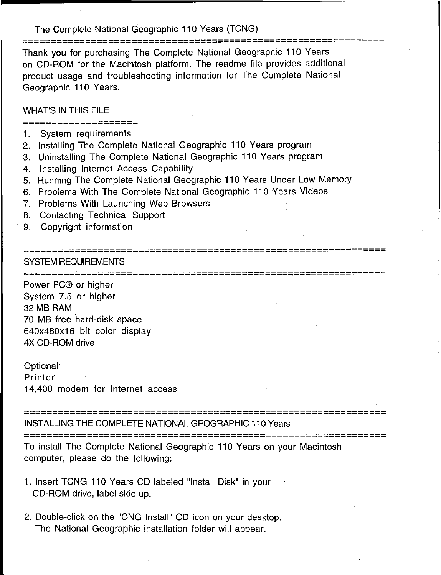#### The Complete National Geographic 110 Years (TCNG)

**===============================================================**

Thank you for purchasing The Complete National Geographic 110 Years on CD-ROM for the Macintosh platform. The readme file provides additional product usage and troubleshooting information for The Complete National Geographic 110 Years.

## WHAT'S IN THIS FILE

**====================**

- 1. System requirements
- 2. Installing The Complete National Geographic 110 Years program
- 3. Uninstalling The Complete National Geographic 110 Years program
- 4. Installing Internet Access Capability
- 5. Running The Complete National Geographic 110 Years Under Low Memory
- 6. Problems With The Complete National Geographic 110 Years Videos
- 7. Problems With Launching Web Browsers
- 8. Contacting Technical Support
- 9. Copyright information

## **===============================================================** SYSTEM REQUIREMENTS

**===============================================================**

Power PC® or higher System 7.5 or higher 32 MB RAM 70 MB free hard-disk space 640x480x16 bit color display 4X CD-ROM drive

### Optional:

Printer 14,400 modem for Internet access

**===============================================================**

INSTALLING THE COMPLETE NATIONAL GEOGRAPHIC 110Years **===============================================================**

To install The Complete National Geographic 110 Years on your Macintosh computer, please do the following:

- 1. Insert TCNG 110 Years CD labeled "Install Disk" in your CD-ROM drive, label side up.
- 2. Double-click on the "CNG Install" CD icon on your desktop. The National Geographic installation folder will appear.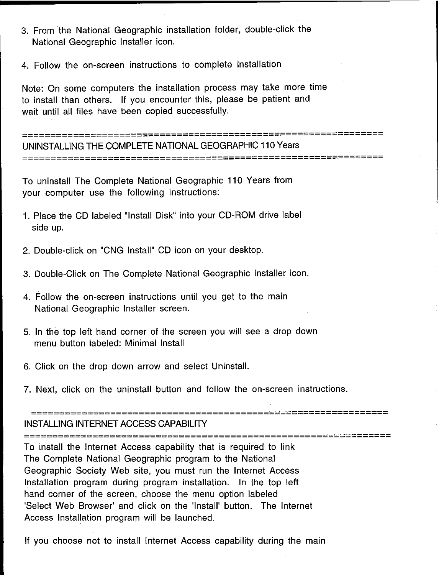- 3. From the National Geographic installation folder, double-click the National Geographic Installer icon.
- 4. Follow the on-screen instructions to complete installation

Note: On some computers the installation process may take more time to install than others. If you encounter this, please be patient and wait until all files have been copied successfully.

**===============================================================** UNINSTALLING THE COMPLETE NATIONAL GEOGRAPHIC 110 Years **===============================================================**

To uninstall The Complete National Geographic 110 Years from your computer use the following instructions:

- 1. Place the CD labeled "Install Disk" into your CD-ROM drive label side up.
- 2. Double-click on "CNG Install" CD icon on your desktop.
- 3. Double-Click on The Complete National Geographic Installer icon.
- 4. Follow the on-screen instructions until you get to the main National Geographic Installer screen.
- 5. In the top left hand corner of the screen you will see a drop down menu button labeled: Minimal Install
- 6. Click on the drop down arrow and select Uninstall.
- 7. Next, click on the uninstall button and follow the on-screen instructions.

**===============================================================** INSTALLING INTERNET ACCESS CAPABILITY

**================================================================**

To install the Internet Access capability that is required to link The Complete National Geographic program to the National Geographic Society Web site, you must run the Internet Access Installation program during program installation. In the top left hand corner of the screen, choose the menu option labeled 'Select Web Browser' and click on the 'Install' button. The Internet Access Installation program will be launched.

If you choose not to install Internet Access capability during the main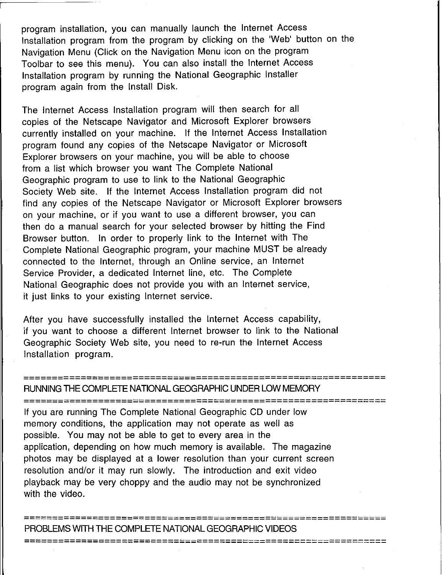program installation, you can manually launch the Internet Access Installation program from the program by clicking on the 'Web' button on the Navigation Menu (Click on the Navigation Menu icon on the program Toolbar to see this menu). You can also install the Internet Access Installation program by running the National Geographic Installer program again from the Install Disk.

The Internet Access Installation program will then search for all copies of the Netscape Navigator and Microsoft Explorer browsers currently installed on your machine. If the Internet Access Installation program found any copies of the Netscape Navigator or Microsoft Explorer browsers on your machine, you will be able to choose from a list which browser you want The Complete National Geographic program to use to link to the National Geographic Society Web site. If the Internet Access Installation program did not find any copies of the Netscape Navigator or Microsoft Explorer browsers on your machine, or if you want to use a different browser, you can then do a manual search for your selected browser by hitting the Find Browser button. In order to properly link to the Internet with The Complete National Geographic program, your machine MUST be already connected to the Internet, through an Online service, an Internet Service Provider, a dedicated Internet line, etc. The Complete National Geographic does not provide you with an Internet service, it just links to your existing Internet service.

After you have successfully installed the Internet Access capability, if you want to choose a different Internet browser to link to the National Geographic Society Web site, you need to re-run the Internet Access Installation program.

# RUNNING THE COMPLETE NATIONAL GEOGRAPHIC UNDER LOW MEMORY

**===============================================================**

**===============================================================**

**===============================================================**

If you are running The Complete National Geographic CD under low memory conditions, the application may not operate as well as possible. You may not be able to get to every area in the application, depending on how much memory is available. The magazine photos may be displayed at a lower resolution than your current screen resolution and/or it may run slowly. The introduction and exit video playback may be very choppy and the audio may not be synchronized with the video.

**===============================================================** PROBLEMS WITH THECOMPLETE NATIONAL GEOGRAPHIC VIDEOS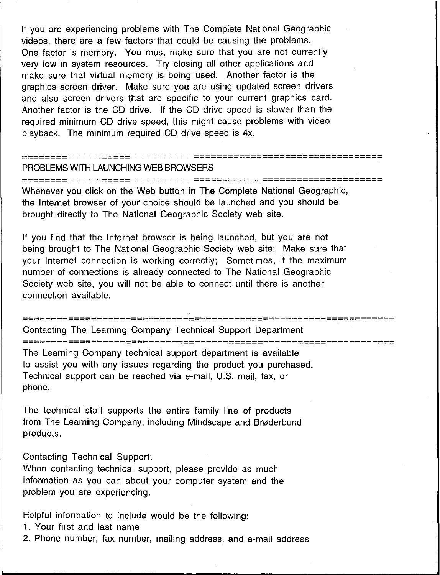If you are experiencing problems with The Complete National Geographic videos, there are a few factors that could be causing the problems. One factor is memory. You must make sure that you are not currently very low in system resources. Try closing all other applications and make sure that virtual memory is being used. Another factor is the graphics screen driver. Make sure you are using updated screen drivers and also screen drivers that are specific to your current graphics card. Another factor is the CD drive. If the CD drive speed is slower than the required minimum CD drive speed, this might cause problems with video playback. The minimum required CD drive speed is 4x.

#### **===============================================================** PROBLEMS WITH LAUNCHING WEB BROWSERS

**===============================================================**

Whenever you click on the Web button in The Complete National Geographic, the Internet browser of your choice should be launched and you should be brought directly to The National Geographic Society web site.

If you find that the Internet browser is being launched, but you are not being brought to The National Geographic Society web site: Make sure that your Internet connection is working correctly; Sometimes, if the maximum number of connections is already connected to The National Geographic Society web site, you will not be able to connect until there is another connection available.

```
=================================================================
```
Contacting The Learning Company Technical Support Department

**=================================================================**

The Learning Company technical support department is available to assist you with any issues regarding the product you purchased. Technical support can be reached via e-mail, U.S. mail, fax, or phone.

The technical staff supports the entire family line of products from The Learning Company, including Mindscape and Braderbund products.

Contacting Technical Support:

When contacting technical support, please provide as much information as you can about your computer system and the problem you are experiencing.

Helpful information to include would be the following:

1. Your first and last name

2. Phone number, fax number, mailing address, and e-mail address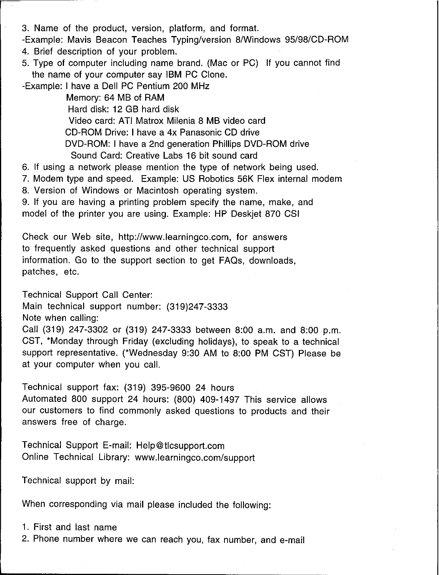3. Name of the product, version, platform, and format.

-Example: Mavis Beacon Teaches Typing/version 8/Windows 95/98/CD-ROM

- 4. Brief description of your problem.
- 5. Type of computer including name brand. (Mac or PC) If you cannot find the name of your computer say IBM PC Clone.

-Example: I have a Dell PC Pentium 200 MHz

Memory: 64 MB of RAM Hard disk: 12 GB hard disk Video card: ATI Matrox Milenia 8 MB video card CD-ROM Drive: I have a 4x Panasonic CD drive DVD-ROM: I have a 2nd generation Phillips DVD-ROM drive Sound Card: Creative Labs 16 bit sound card

6. If using a network please mention the type of network being used.

7. Modem type and speed. Example: US Robotics 56K Flex internal modem

8. Version of Windows or Macintosh operating system.

9. If you are having a printing problem specify the name, make, and model of the printer you are using. Example: HP Deskjet 870 CSI

Check our Web site, http://www.learningco.com. for answers to frequently asked questions and other technical support information. Go to the support section to get FAQs, downloads, patches, etc.

Technical Support Call Center:

Main technical support number: (319)247-3333

Note when calling:

Call (319) 247-3302 or (319) 247-3333 between 8:00 a.m. and 8:00 p.m. CST, "Monday through Friday (excluding holidays), to speak to a technical support representative. (\*Wednesday 9:30 AM to 8:00 PM CST) Please be at your computer when you call.

Technical support fax: (319) 395-9600 24 hours

Automated 800 support 24 hours: (800) 409-1497 This service allows our customers to find commonly asked questions to products and their answers free of charge.

Technical Support E-mail: Help@tlcsupport.com Online Technical Library: www.learningco.com/support

Technical support by mail:

When corresponding via mail please included the following:

1. First and last name

2. Phone number where we can reach you, fax number, and e-mail